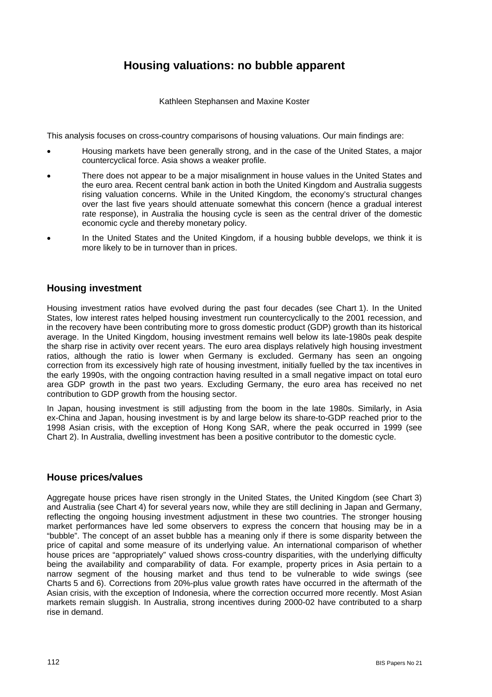# **Housing valuations: no bubble apparent**

Kathleen Stephansen and Maxine Koster

This analysis focuses on cross-country comparisons of housing valuations. Our main findings are:

- Housing markets have been generally strong, and in the case of the United States, a major countercyclical force. Asia shows a weaker profile.
- There does not appear to be a major misalignment in house values in the United States and the euro area. Recent central bank action in both the United Kingdom and Australia suggests rising valuation concerns. While in the United Kingdom, the economy's structural changes over the last five years should attenuate somewhat this concern (hence a gradual interest rate response), in Australia the housing cycle is seen as the central driver of the domestic economic cycle and thereby monetary policy.
- In the United States and the United Kingdom, if a housing bubble develops, we think it is more likely to be in turnover than in prices.

## **Housing investment**

Housing investment ratios have evolved during the past four decades (see Chart 1). In the United States, low interest rates helped housing investment run countercyclically to the 2001 recession, and in the recovery have been contributing more to gross domestic product (GDP) growth than its historical average. In the United Kingdom, housing investment remains well below its late-1980s peak despite the sharp rise in activity over recent years. The euro area displays relatively high housing investment ratios, although the ratio is lower when Germany is excluded. Germany has seen an ongoing correction from its excessively high rate of housing investment, initially fuelled by the tax incentives in the early 1990s, with the ongoing contraction having resulted in a small negative impact on total euro area GDP growth in the past two years. Excluding Germany, the euro area has received no net contribution to GDP growth from the housing sector.

In Japan, housing investment is still adjusting from the boom in the late 1980s. Similarly, in Asia ex-China and Japan, housing investment is by and large below its share-to-GDP reached prior to the 1998 Asian crisis, with the exception of Hong Kong SAR, where the peak occurred in 1999 (see Chart 2). In Australia, dwelling investment has been a positive contributor to the domestic cycle.

## **House prices/values**

Aggregate house prices have risen strongly in the United States, the United Kingdom (see Chart 3) and Australia (see Chart 4) for several years now, while they are still declining in Japan and Germany, reflecting the ongoing housing investment adjustment in these two countries. The stronger housing market performances have led some observers to express the concern that housing may be in a "bubble". The concept of an asset bubble has a meaning only if there is some disparity between the price of capital and some measure of its underlying value. An international comparison of whether house prices are "appropriately" valued shows cross-country disparities, with the underlying difficulty being the availability and comparability of data. For example, property prices in Asia pertain to a narrow segment of the housing market and thus tend to be vulnerable to wide swings (see Charts 5 and 6). Corrections from 20%-plus value growth rates have occurred in the aftermath of the Asian crisis, with the exception of Indonesia, where the correction occurred more recently. Most Asian markets remain sluggish. In Australia, strong incentives during 2000-02 have contributed to a sharp rise in demand.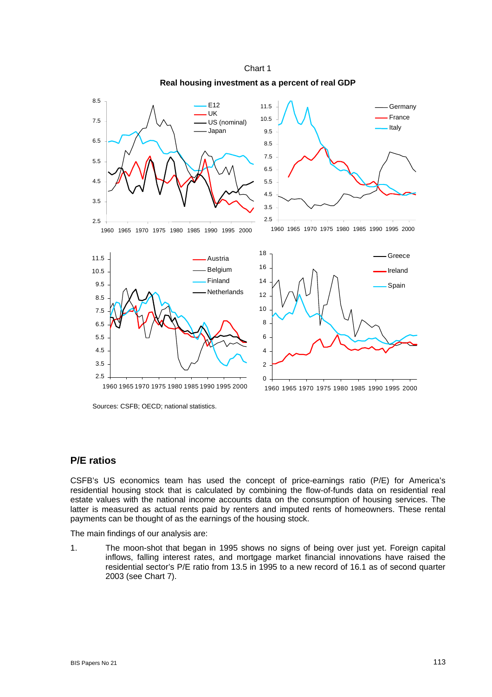



Sources: CSFB; OECD; national statistics.

## **P/E ratios**

CSFB's US economics team has used the concept of price-earnings ratio (P/E) for America's residential housing stock that is calculated by combining the flow-of-funds data on residential real estate values with the national income accounts data on the consumption of housing services. The latter is measured as actual rents paid by renters and imputed rents of homeowners. These rental payments can be thought of as the earnings of the housing stock.

The main findings of our analysis are:

1. The moon-shot that began in 1995 shows no signs of being over just yet. Foreign capital inflows, falling interest rates, and mortgage market financial innovations have raised the residential sector's P/E ratio from 13.5 in 1995 to a new record of 16.1 as of second quarter 2003 (see Chart 7).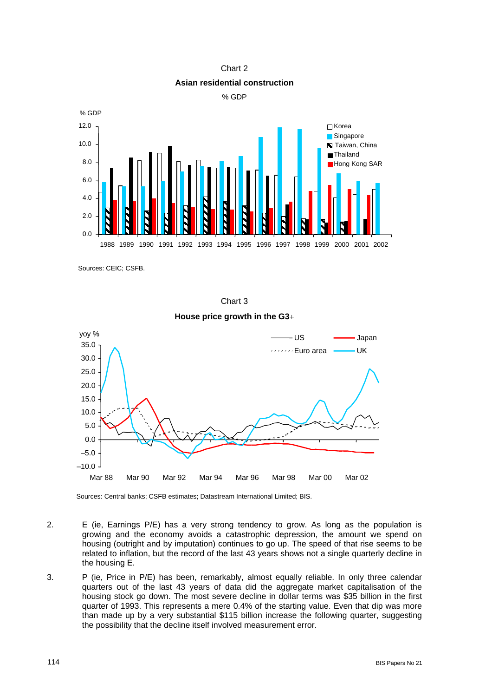



Sources: CEIC; CSFB.







Sources: Central banks; CSFB estimates; Datastream International Limited; BIS.

- 2. E (ie, Earnings P/E) has a very strong tendency to grow. As long as the population is growing and the economy avoids a catastrophic depression, the amount we spend on housing (outright and by imputation) continues to go up. The speed of that rise seems to be related to inflation, but the record of the last 43 years shows not a single quarterly decline in the housing E.
- 3. P (ie, Price in P/E) has been, remarkably, almost equally reliable. In only three calendar quarters out of the last 43 years of data did the aggregate market capitalisation of the housing stock go down. The most severe decline in dollar terms was \$35 billion in the first quarter of 1993. This represents a mere 0.4% of the starting value. Even that dip was more than made up by a very substantial \$115 billion increase the following quarter, suggesting the possibility that the decline itself involved measurement error.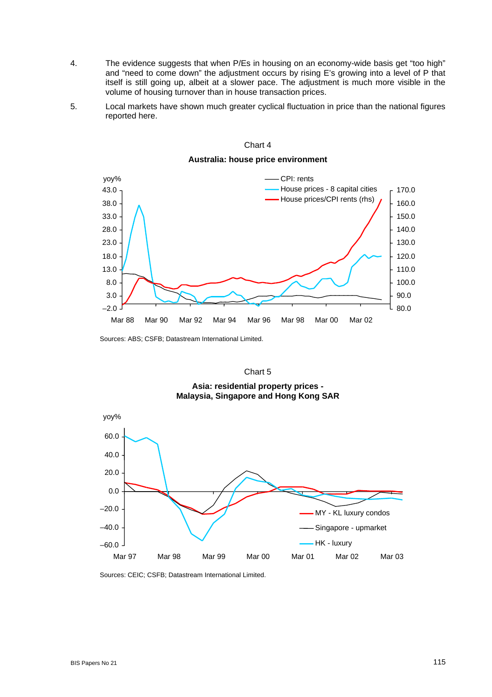- 4. The evidence suggests that when P/Es in housing on an economy-wide basis get "too high" and "need to come down" the adjustment occurs by rising E's growing into a level of P that itself is still going up, albeit at a slower pace. The adjustment is much more visible in the volume of housing turnover than in house transaction prices.
- 5. Local markets have shown much greater cyclical fluctuation in price than the national figures reported here.



Chart 4

**Australia: house price environment** 

Sources: ABS; CSFB; Datastream International Limited.

## Chart 5

**Asia: residential property prices - Malaysia, Singapore and Hong Kong SAR** 



Sources: CEIC; CSFB; Datastream International Limited.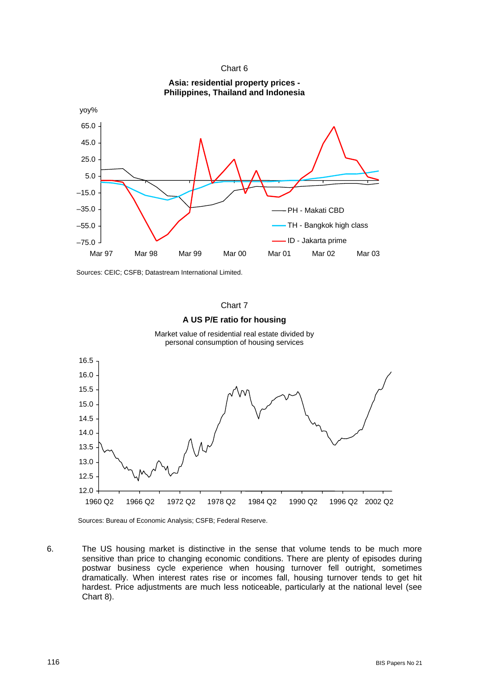



Sources: CEIC; CSFB; Datastream International Limited.



Sources: Bureau of Economic Analysis; CSFB; Federal Reserve.

6. The US housing market is distinctive in the sense that volume tends to be much more sensitive than price to changing economic conditions. There are plenty of episodes during postwar business cycle experience when housing turnover fell outright, sometimes dramatically. When interest rates rise or incomes fall, housing turnover tends to get hit hardest. Price adjustments are much less noticeable, particularly at the national level (see Chart 8).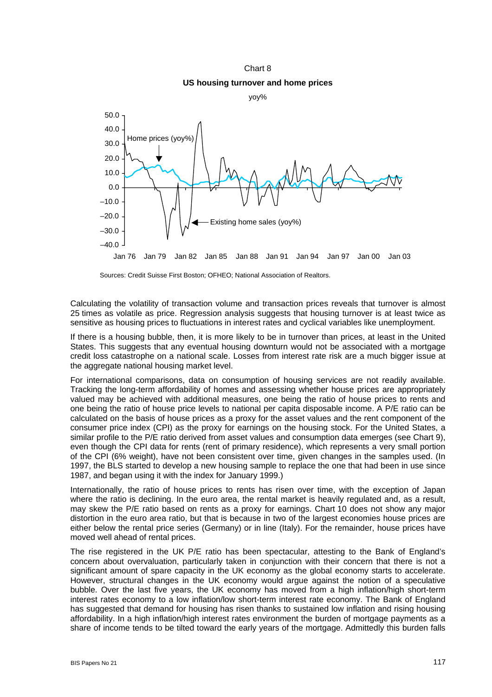Chart 8 **US housing turnover and home prices**



Sources: Credit Suisse First Boston; OFHEO; National Association of Realtors.

Calculating the volatility of transaction volume and transaction prices reveals that turnover is almost 25 times as volatile as price. Regression analysis suggests that housing turnover is at least twice as sensitive as housing prices to fluctuations in interest rates and cyclical variables like unemployment.

If there is a housing bubble, then, it is more likely to be in turnover than prices, at least in the United States. This suggests that any eventual housing downturn would not be associated with a mortgage credit loss catastrophe on a national scale. Losses from interest rate risk are a much bigger issue at the aggregate national housing market level.

For international comparisons, data on consumption of housing services are not readily available. Tracking the long-term affordability of homes and assessing whether house prices are appropriately valued may be achieved with additional measures, one being the ratio of house prices to rents and one being the ratio of house price levels to national per capita disposable income. A P/E ratio can be calculated on the basis of house prices as a proxy for the asset values and the rent component of the consumer price index (CPI) as the proxy for earnings on the housing stock. For the United States, a similar profile to the P/E ratio derived from asset values and consumption data emerges (see Chart 9), even though the CPI data for rents (rent of primary residence), which represents a very small portion of the CPI (6% weight), have not been consistent over time, given changes in the samples used. (In 1997, the BLS started to develop a new housing sample to replace the one that had been in use since 1987, and began using it with the index for January 1999.)

Internationally, the ratio of house prices to rents has risen over time, with the exception of Japan where the ratio is declining. In the euro area, the rental market is heavily regulated and, as a result, may skew the P/E ratio based on rents as a proxy for earnings. Chart 10 does not show any major distortion in the euro area ratio, but that is because in two of the largest economies house prices are either below the rental price series (Germany) or in line (Italy). For the remainder, house prices have moved well ahead of rental prices.

The rise registered in the UK P/E ratio has been spectacular, attesting to the Bank of England's concern about overvaluation, particularly taken in conjunction with their concern that there is not a significant amount of spare capacity in the UK economy as the global economy starts to accelerate. However, structural changes in the UK economy would argue against the notion of a speculative bubble. Over the last five years, the UK economy has moved from a high inflation/high short-term interest rates economy to a low inflation/low short-term interest rate economy. The Bank of England has suggested that demand for housing has risen thanks to sustained low inflation and rising housing affordability. In a high inflation/high interest rates environment the burden of mortgage payments as a share of income tends to be tilted toward the early years of the mortgage. Admittedly this burden falls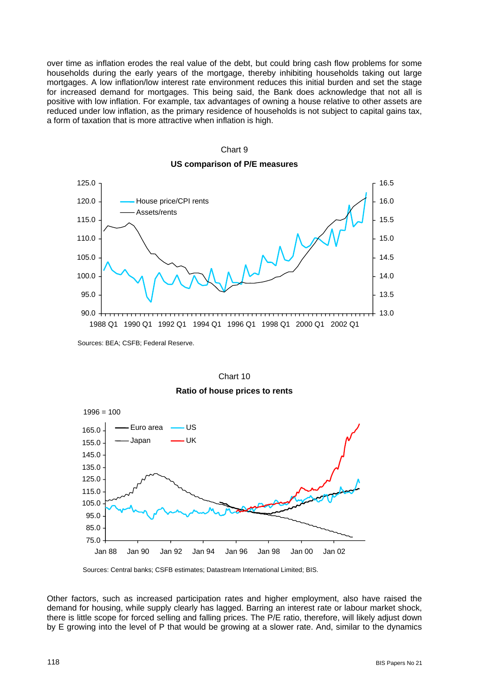over time as inflation erodes the real value of the debt, but could bring cash flow problems for some households during the early years of the mortgage, thereby inhibiting households taking out large mortgages. A low inflation/low interest rate environment reduces this initial burden and set the stage for increased demand for mortgages. This being said, the Bank does acknowledge that not all is positive with low inflation. For example, tax advantages of owning a house relative to other assets are reduced under low inflation, as the primary residence of households is not subject to capital gains tax, a form of taxation that is more attractive when inflation is high.

#### 90.0 95.0 100.0 105.0 110.0 115.0 120.0 125.0 1988 Q1 1990 Q1 1992 Q1 1994 Q1 1996 Q1 1998 Q1 2000 Q1 2002 Q1 13.0 13.5 14.0 14.5 15.0 15.5 16.0 16.5 House price/CPI rents Assets/rents



Sources: BEA; CSFB; Federal Reserve.





Sources: Central banks; CSFB estimates; Datastream International Limited; BIS.

Other factors, such as increased participation rates and higher employment, also have raised the demand for housing, while supply clearly has lagged. Barring an interest rate or labour market shock, there is little scope for forced selling and falling prices. The P/E ratio, therefore, will likely adjust down by E growing into the level of P that would be growing at a slower rate. And, similar to the dynamics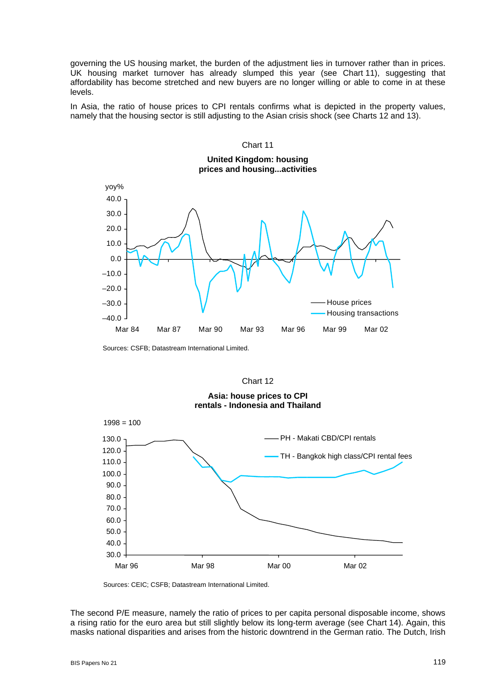governing the US housing market, the burden of the adjustment lies in turnover rather than in prices. UK housing market turnover has already slumped this year (see Chart 11), suggesting that affordability has become stretched and new buyers are no longer willing or able to come in at these levels.

In Asia, the ratio of house prices to CPI rentals confirms what is depicted in the property values, namely that the housing sector is still adjusting to the Asian crisis shock (see Charts 12 and 13).



Sources: CSFB; Datastream International Limited.

### Chart 12





Sources: CEIC; CSFB; Datastream International Limited.

The second P/E measure, namely the ratio of prices to per capita personal disposable income, shows a rising ratio for the euro area but still slightly below its long-term average (see Chart 14). Again, this masks national disparities and arises from the historic downtrend in the German ratio. The Dutch, Irish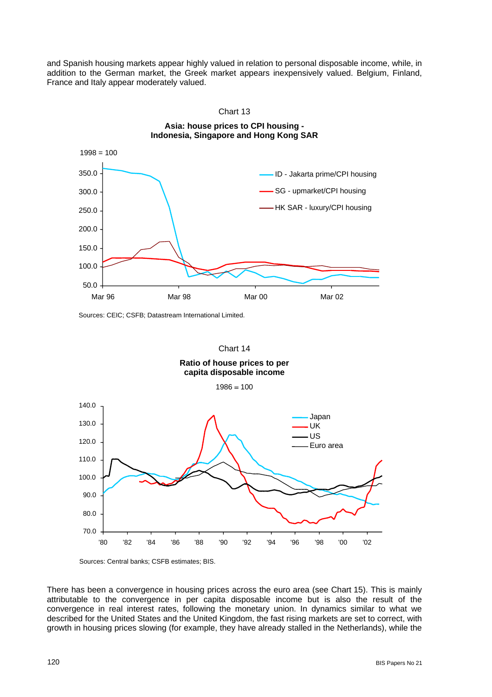and Spanish housing markets appear highly valued in relation to personal disposable income, while, in addition to the German market, the Greek market appears inexpensively valued. Belgium, Finland, France and Italy appear moderately valued.



**Asia: house prices to CPI housing -** 

Chart 13

Sources: CEIC; CSFB; Datastream International Limited.



**Ratio of house prices to per capita disposable income** 

 $1986 = 100$ 





There has been a convergence in housing prices across the euro area (see Chart 15). This is mainly attributable to the convergence in per capita disposable income but is also the result of the convergence in real interest rates, following the monetary union. In dynamics similar to what we described for the United States and the United Kingdom, the fast rising markets are set to correct, with growth in housing prices slowing (for example, they have already stalled in the Netherlands), while the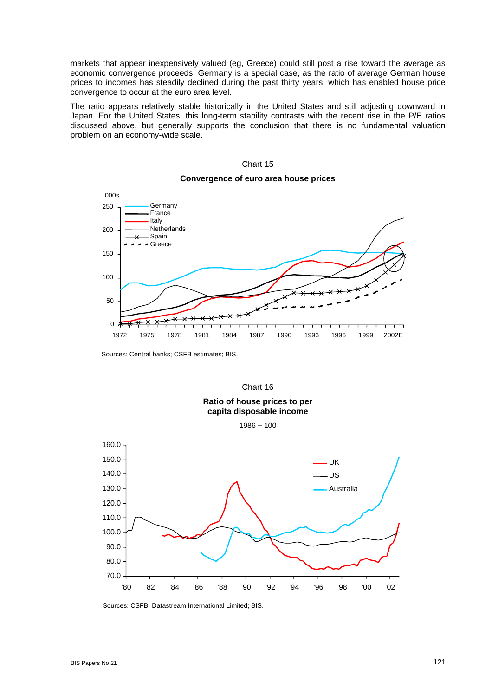markets that appear inexpensively valued (eg, Greece) could still post a rise toward the average as economic convergence proceeds. Germany is a special case, as the ratio of average German house prices to incomes has steadily declined during the past thirty years, which has enabled house price convergence to occur at the euro area level.

The ratio appears relatively stable historically in the United States and still adjusting downward in Japan. For the United States, this long-term stability contrasts with the recent rise in the P/E ratios discussed above, but generally supports the conclusion that there is no fundamental valuation problem on an economy-wide scale.

#### Chart 15



## **Convergence of euro area house prices**

Sources: Central banks; CSFB estimates; BIS.



Sources: CSFB; Datastream International Limited; BIS.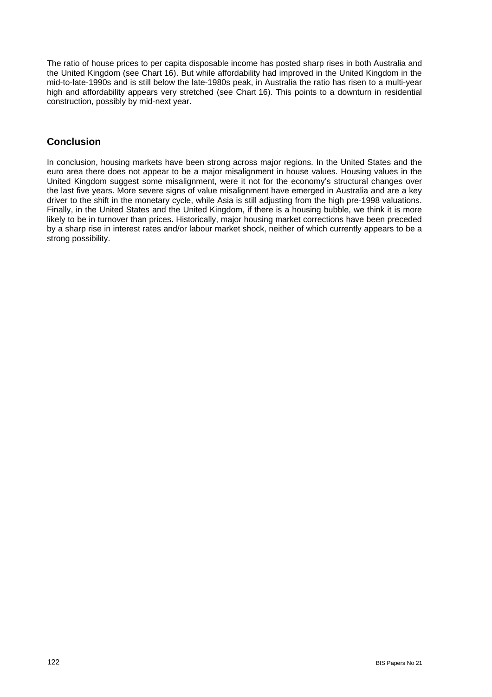The ratio of house prices to per capita disposable income has posted sharp rises in both Australia and the United Kingdom (see Chart 16). But while affordability had improved in the United Kingdom in the mid-to-late-1990s and is still below the late-1980s peak, in Australia the ratio has risen to a multi-year high and affordability appears very stretched (see Chart 16). This points to a downturn in residential construction, possibly by mid-next year.

## **Conclusion**

In conclusion, housing markets have been strong across major regions. In the United States and the euro area there does not appear to be a major misalignment in house values. Housing values in the United Kingdom suggest some misalignment, were it not for the economy's structural changes over the last five years. More severe signs of value misalignment have emerged in Australia and are a key driver to the shift in the monetary cycle, while Asia is still adjusting from the high pre-1998 valuations. Finally, in the United States and the United Kingdom, if there is a housing bubble, we think it is more likely to be in turnover than prices. Historically, major housing market corrections have been preceded by a sharp rise in interest rates and/or labour market shock, neither of which currently appears to be a strong possibility.